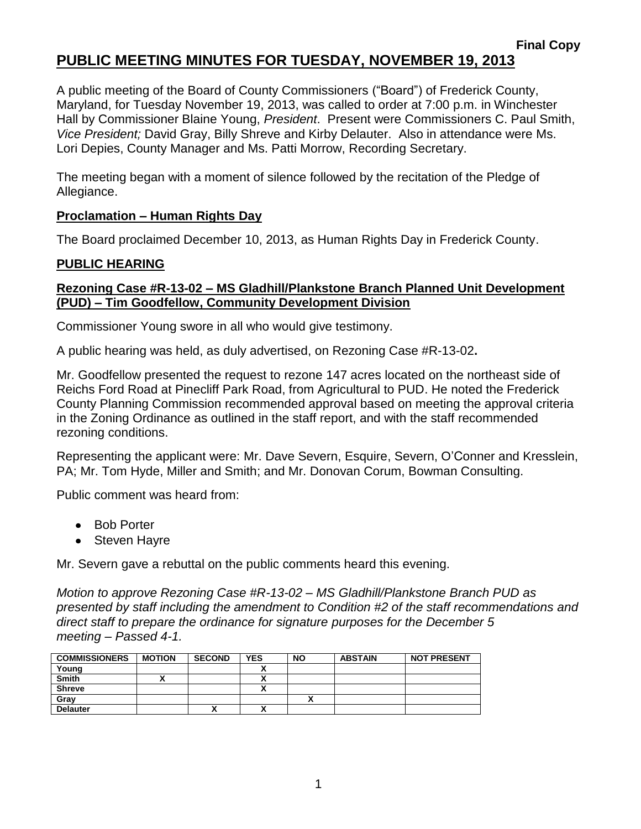# **PUBLIC MEETING MINUTES FOR TUESDAY, NOVEMBER 19, 2013**

A public meeting of the Board of County Commissioners ("Board") of Frederick County, Maryland, for Tuesday November 19, 2013, was called to order at 7:00 p.m. in Winchester Hall by Commissioner Blaine Young, *President*. Present were Commissioners C. Paul Smith, *Vice President;* David Gray, Billy Shreve and Kirby Delauter. Also in attendance were Ms. Lori Depies, County Manager and Ms. Patti Morrow, Recording Secretary.

The meeting began with a moment of silence followed by the recitation of the Pledge of Allegiance.

### **Proclamation – Human Rights Day**

The Board proclaimed December 10, 2013, as Human Rights Day in Frederick County.

## **PUBLIC HEARING**

### **Rezoning Case #R-13-02 – MS Gladhill/Plankstone Branch Planned Unit Development (PUD) – Tim Goodfellow, Community Development Division**

Commissioner Young swore in all who would give testimony.

A public hearing was held, as duly advertised, on Rezoning Case #R-13-02**.**

Mr. Goodfellow presented the request to rezone 147 acres located on the northeast side of Reichs Ford Road at Pinecliff Park Road, from Agricultural to PUD. He noted the Frederick County Planning Commission recommended approval based on meeting the approval criteria in the Zoning Ordinance as outlined in the staff report, and with the staff recommended rezoning conditions.

Representing the applicant were: Mr. Dave Severn, Esquire, Severn, O'Conner and Kresslein, PA; Mr. Tom Hyde, Miller and Smith; and Mr. Donovan Corum, Bowman Consulting.

Public comment was heard from:

- Bob Porter
- Steven Hayre

Mr. Severn gave a rebuttal on the public comments heard this evening.

*Motion to approve Rezoning Case #R-13-02 – MS Gladhill/Plankstone Branch PUD as presented by staff including the amendment to Condition #2 of the staff recommendations and direct staff to prepare the ordinance for signature purposes for the December 5 meeting – Passed 4-1.*

| <b>COMMISSIONERS</b> | <b>MOTION</b> | <b>SECOND</b> | <b>YES</b> | <b>NO</b> | <b>ABSTAIN</b> | <b>NOT PRESENT</b> |
|----------------------|---------------|---------------|------------|-----------|----------------|--------------------|
| Young                |               |               |            |           |                |                    |
| Smith                |               |               |            |           |                |                    |
| Shreve               |               |               |            |           |                |                    |
| Gray                 |               |               |            |           |                |                    |
| <b>Delauter</b>      |               | Λ             | A          |           |                |                    |